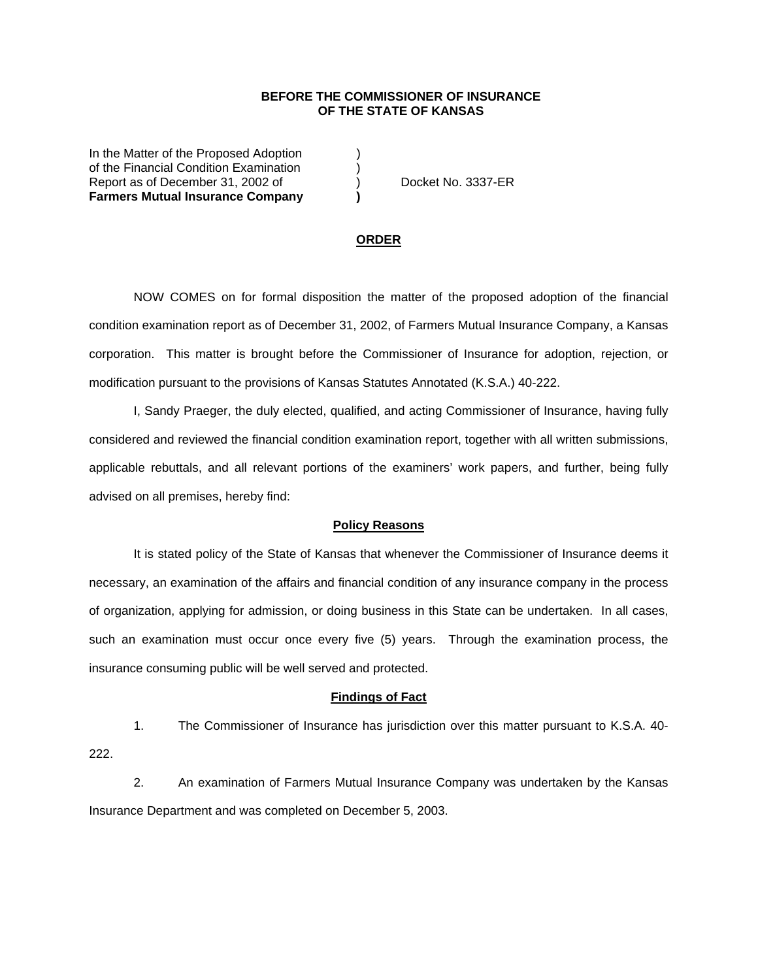## **BEFORE THE COMMISSIONER OF INSURANCE OF THE STATE OF KANSAS**

In the Matter of the Proposed Adoption (a) of the Financial Condition Examination ) Report as of December 31, 2002 of (a) Docket No. 3337-ER **Farmers Mutual Insurance Company )**

## **ORDER**

 NOW COMES on for formal disposition the matter of the proposed adoption of the financial condition examination report as of December 31, 2002, of Farmers Mutual Insurance Company, a Kansas corporation. This matter is brought before the Commissioner of Insurance for adoption, rejection, or modification pursuant to the provisions of Kansas Statutes Annotated (K.S.A.) 40-222.

 I, Sandy Praeger, the duly elected, qualified, and acting Commissioner of Insurance, having fully considered and reviewed the financial condition examination report, together with all written submissions, applicable rebuttals, and all relevant portions of the examiners' work papers, and further, being fully advised on all premises, hereby find:

### **Policy Reasons**

 It is stated policy of the State of Kansas that whenever the Commissioner of Insurance deems it necessary, an examination of the affairs and financial condition of any insurance company in the process of organization, applying for admission, or doing business in this State can be undertaken. In all cases, such an examination must occur once every five (5) years. Through the examination process, the insurance consuming public will be well served and protected.

#### **Findings of Fact**

 1. The Commissioner of Insurance has jurisdiction over this matter pursuant to K.S.A. 40- 222.

 2. An examination of Farmers Mutual Insurance Company was undertaken by the Kansas Insurance Department and was completed on December 5, 2003.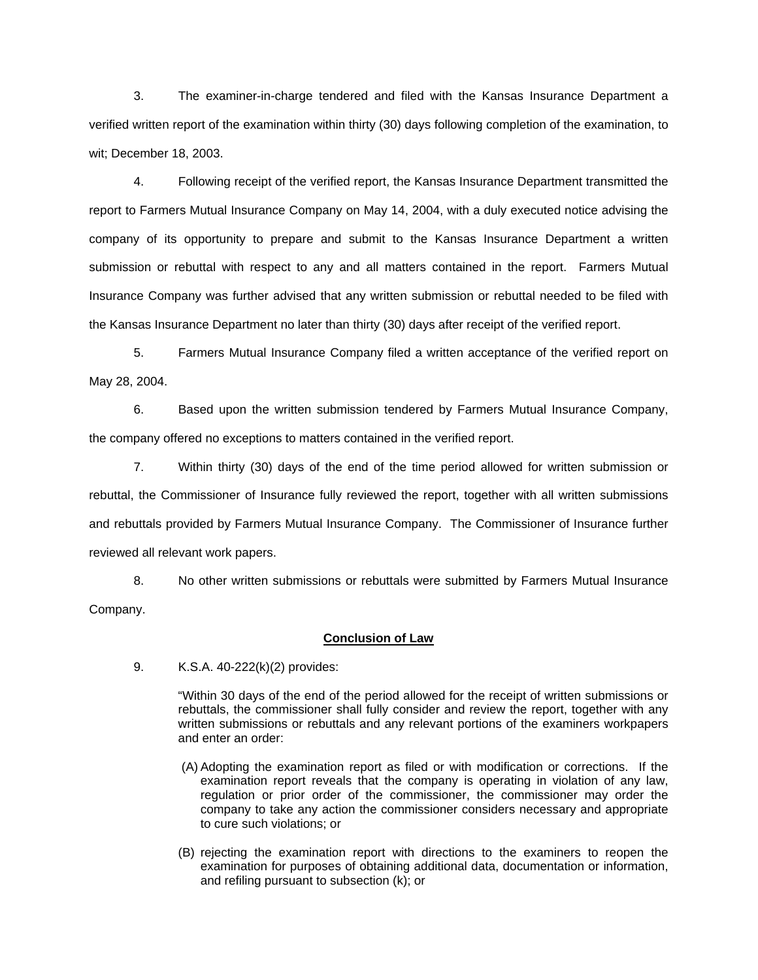3. The examiner-in-charge tendered and filed with the Kansas Insurance Department a verified written report of the examination within thirty (30) days following completion of the examination, to wit; December 18, 2003.

 4. Following receipt of the verified report, the Kansas Insurance Department transmitted the report to Farmers Mutual Insurance Company on May 14, 2004, with a duly executed notice advising the company of its opportunity to prepare and submit to the Kansas Insurance Department a written submission or rebuttal with respect to any and all matters contained in the report. Farmers Mutual Insurance Company was further advised that any written submission or rebuttal needed to be filed with the Kansas Insurance Department no later than thirty (30) days after receipt of the verified report.

 5. Farmers Mutual Insurance Company filed a written acceptance of the verified report on May 28, 2004.

 6. Based upon the written submission tendered by Farmers Mutual Insurance Company, the company offered no exceptions to matters contained in the verified report.

 7. Within thirty (30) days of the end of the time period allowed for written submission or rebuttal, the Commissioner of Insurance fully reviewed the report, together with all written submissions and rebuttals provided by Farmers Mutual Insurance Company. The Commissioner of Insurance further reviewed all relevant work papers.

 8. No other written submissions or rebuttals were submitted by Farmers Mutual Insurance Company.

# **Conclusion of Law**

9. K.S.A. 40-222(k)(2) provides:

"Within 30 days of the end of the period allowed for the receipt of written submissions or rebuttals, the commissioner shall fully consider and review the report, together with any written submissions or rebuttals and any relevant portions of the examiners workpapers and enter an order:

- (A) Adopting the examination report as filed or with modification or corrections. If the examination report reveals that the company is operating in violation of any law, regulation or prior order of the commissioner, the commissioner may order the company to take any action the commissioner considers necessary and appropriate to cure such violations; or
- (B) rejecting the examination report with directions to the examiners to reopen the examination for purposes of obtaining additional data, documentation or information, and refiling pursuant to subsection (k); or